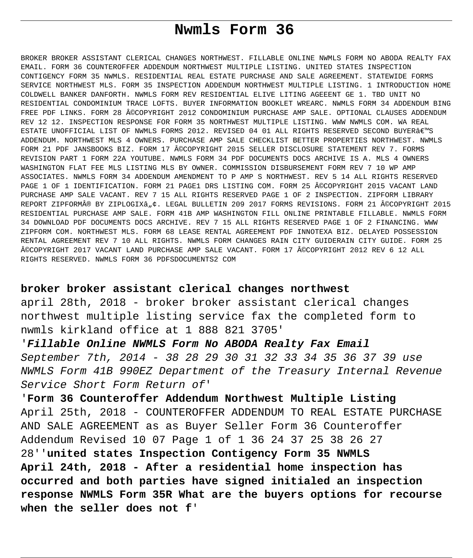# **Nwmls Form 36**

BROKER BROKER ASSISTANT CLERICAL CHANGES NORTHWEST. FILLABLE ONLINE NWMLS FORM NO ABODA REALTY FAX EMAIL. FORM 36 COUNTEROFFER ADDENDUM NORTHWEST MULTIPLE LISTING. UNITED STATES INSPECTION CONTIGENCY FORM 35 NWMLS. RESIDENTIAL REAL ESTATE PURCHASE AND SALE AGREEMENT. STATEWIDE FORMS SERVICE NORTHWEST MLS. FORM 35 INSPECTION ADDENDUM NORTHWEST MULTIPLE LISTING. 1 INTRODUCTION HOME COLDWELL BANKER DANFORTH. NWMLS FORM REV RESIDENTIAL ELIVE LITING AGEEENT GE 1. TBD UNIT NO RESIDENTIAL CONDOMINIUM TRACE LOFTS. BUYER INFORMATION BOOKLET WREARC. NWMLS FORM 34 ADDENDUM BING FREE PDF LINKS. FORM 28 ©COPYRIGHT 2012 CONDOMINIUM PURCHASE AMP SALE. OPTIONAL CLAUSES ADDENDUM REV 12 12. INSPECTION RESPONSE FOR FORM 35 NORTHWEST MULTIPLE LISTING. WWW NWMLS COM. WA REAL ESTATE UNOFFICIAL LIST OF NWMLS FORMS 2012. REVISED 04 01 ALL RIGHTS RESERVED SECOND BUYER€<sup>w</sup>S ADDENDUM. NORTHWEST MLS 4 OWNERS. PURCHASE AMP SALE CHECKLIST BETTER PROPERTIES NORTHWEST. NWMLS FORM 21 PDF JANSBOOKS BIZ. FORM 17 ©COPYRIGHT 2015 SELLER DISCLOSURE STATEMENT REV 7. FORMS REVISION PART 1 FORM 22A YOUTUBE. NWMLS FORM 34 PDF DOCUMENTS DOCS ARCHIVE IS A. MLS 4 OWNERS WASHINGTON FLAT FEE MLS LISTING MLS BY OWNER. COMMISSION DISBURSEMENT FORM REV 7 10 WP AMP ASSOCIATES. NWMLS FORM 34 ADDENDUM AMENDMENT TO P AMP S NORTHWEST. REV 5 14 ALL RIGHTS RESERVED PAGE 1 OF 1 IDENTIFICATION. FORM 21 PAGE1 DRS LISTING COM. FORM 25 ©COPYRIGHT 2015 VACANT LAND PURCHASE AMP SALE VACANT. REV 7 15 ALL RIGHTS RESERVED PAGE 1 OF 2 INSPECTION. ZIPFORM LIBRARY REPORT ZIPFORM® BY ZIPLOGIX"¢. LEGAL BULLETIN 209 2017 FORMS REVISIONS. FORM 21 ©COPYRIGHT 2015 RESIDENTIAL PURCHASE AMP SALE. FORM 41B AMP WASHINGTON FILL ONLINE PRINTABLE FILLABLE. NWMLS FORM 34 DOWNLOAD PDF DOCUMENTS DOCS ARCHIVE. REV 7 15 ALL RIGHTS RESERVED PAGE 1 OF 2 FINANCING. WWW ZIPFORM COM. NORTHWEST MLS. FORM 68 LEASE RENTAL AGREEMENT PDF INNOTEXA BIZ. DELAYED POSSESSION RENTAL AGREEMENT REV 7 10 ALL RIGHTS. NWMLS FORM CHANGES RAIN CITY GUIDERAIN CITY GUIDE. FORM 25 ©COPYRIGHT 2017 VACANT LAND PURCHASE AMP SALE VACANT. FORM 17 ©COPYRIGHT 2012 REV 6 12 ALL RIGHTS RESERVED. NWMLS FORM 36 PDFSDOCUMENTS2 COM

# **broker broker assistant clerical changes northwest**

april 28th, 2018 - broker broker assistant clerical changes northwest multiple listing service fax the completed form to nwmls kirkland office at 1 888 821 3705'

'**Fillable Online NWMLS Form No ABODA Realty Fax Email** September 7th, 2014 - 38 28 29 30 31 32 33 34 35 36 37 39 use NWMLS Form 41B 990EZ Department of the Treasury Internal Revenue Service Short Form Return of'

'**Form 36 Counteroffer Addendum Northwest Multiple Listing** April 25th, 2018 - COUNTEROFFER ADDENDUM TO REAL ESTATE PURCHASE AND SALE AGREEMENT as as Buyer Seller Form 36 Counteroffer Addendum Revised 10 07 Page 1 of 1 36 24 37 25 38 26 27 28''**united states Inspection Contigency Form 35 NWMLS April 24th, 2018 - After a residential home inspection has occurred and both parties have signed initialed an inspection response NWMLS Form 35R What are the buyers options for recourse when the seller does not f**'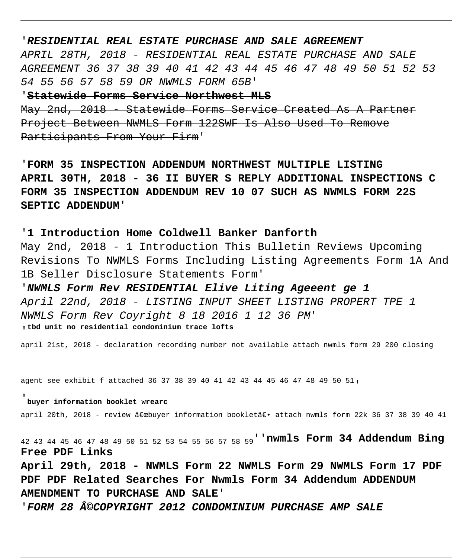## '**RESIDENTIAL REAL ESTATE PURCHASE AND SALE AGREEMENT**

APRIL 28TH, 2018 - RESIDENTIAL REAL ESTATE PURCHASE AND SALE AGREEMENT 36 37 38 39 40 41 42 43 44 45 46 47 48 49 50 51 52 53 54 55 56 57 58 59 OR NWMLS FORM 65B'

'**Statewide Forms Service Northwest MLS** May 2nd, 2018 - Statewide Forms Service Created As A Partner Project Between NWMLS Form 122SWF Is Also Used To Remove Participants From Your Firm'

'**FORM 35 INSPECTION ADDENDUM NORTHWEST MULTIPLE LISTING APRIL 30TH, 2018 - 36 II BUYER S REPLY ADDITIONAL INSPECTIONS C FORM 35 INSPECTION ADDENDUM REV 10 07 SUCH AS NWMLS FORM 22S SEPTIC ADDENDUM**'

'**1 Introduction Home Coldwell Banker Danforth** May 2nd, 2018 - 1 Introduction This Bulletin Reviews Upcoming Revisions To NWMLS Forms Including Listing Agreements Form 1A And 1B Seller Disclosure Statements Form'

'**NWMLS Form Rev RESIDENTIAL Elive Liting Ageeent ge 1** April 22nd, 2018 - LISTING INPUT SHEET LISTING PROPERT TPE 1 NWMLS Form Rev Coyright 8 18 2016 1 12 36 PM' '**tbd unit no residential condominium trace lofts**

april 21st, 2018 - declaration recording number not available attach nwmls form 29 200 closing

agent see exhibit f attached 36 37 38 39 40 41 42 43 44 45 46 47 48 49 50 51,

#### '**buyer information booklet wrearc**

april 20th, 2018 - review "buyer information bookletâ€. attach nwmls form 22k 36 37 38 39 40 41

42 43 44 45 46 47 48 49 50 51 52 53 54 55 56 57 58 59''**nwmls Form 34 Addendum Bing Free PDF Links**

**April 29th, 2018 - NWMLS Form 22 NWMLS Form 29 NWMLS Form 17 PDF PDF PDF Related Searches For Nwmls Form 34 Addendum ADDENDUM AMENDMENT TO PURCHASE AND SALE**'

'**FORM 28 ©COPYRIGHT 2012 CONDOMINIUM PURCHASE AMP SALE**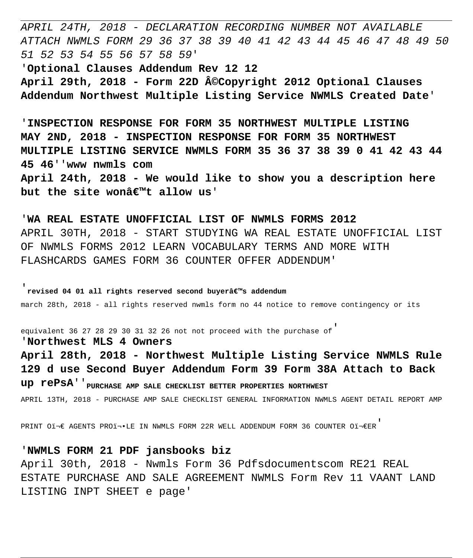APRIL 24TH, 2018 - DECLARATION RECORDING NUMBER NOT AVAILABLE ATTACH NWMLS FORM 29 36 37 38 39 40 41 42 43 44 45 46 47 48 49 50 51 52 53 54 55 56 57 58 59'

'**Optional Clauses Addendum Rev 12 12** April 29th, 2018 - Form 22D ©Copyright 2012 Optional Clauses **Addendum Northwest Multiple Listing Service NWMLS Created Date**'

'**INSPECTION RESPONSE FOR FORM 35 NORTHWEST MULTIPLE LISTING MAY 2ND, 2018 - INSPECTION RESPONSE FOR FORM 35 NORTHWEST MULTIPLE LISTING SERVICE NWMLS FORM 35 36 37 38 39 0 41 42 43 44 45 46**''**www nwmls com April 24th, 2018 - We would like to show you a description here** but the site wona<sup> $\epsilon$ IM</sup>t allow us'

'**WA REAL ESTATE UNOFFICIAL LIST OF NWMLS FORMS 2012** APRIL 30TH, 2018 - START STUDYING WA REAL ESTATE UNOFFICIAL LIST OF NWMLS FORMS 2012 LEARN VOCABULARY TERMS AND MORE WITH FLASHCARDS GAMES FORM 36 COUNTER OFFER ADDENDUM'

'**revised 04 01 all rights reserved second buyer's addendum** march 28th, 2018 - all rights reserved nwmls form no 44 notice to remove contingency or its

equivalent 36 27 28 29 30 31 32 26 not not proceed with the purchase of'

'**Northwest MLS 4 Owners**

**April 28th, 2018 - Northwest Multiple Listing Service NWMLS Rule 129 d use Second Buyer Addendum Form 39 Form 38A Attach to Back up rePsA**''**PURCHASE AMP SALE CHECKLIST BETTER PROPERTIES NORTHWEST** APRIL 13TH, 2018 - PURCHASE AMP SALE CHECKLIST GENERAL INFORMATION NWMLS AGENT DETAIL REPORT AMP

PRINT OI $\ni \in$  AGENTS PROİ $\ni$ LE IN NWMLS FORM 22R WELL ADDENDUM FORM 36 COUNTER OI $\ni \in$ ER'

'**NWMLS FORM 21 PDF jansbooks biz** April 30th, 2018 - Nwmls Form 36 Pdfsdocumentscom RE21 REAL ESTATE PURCHASE AND SALE AGREEMENT NWMLS Form Rev 11 VAANT LAND LISTING INPT SHEET e page'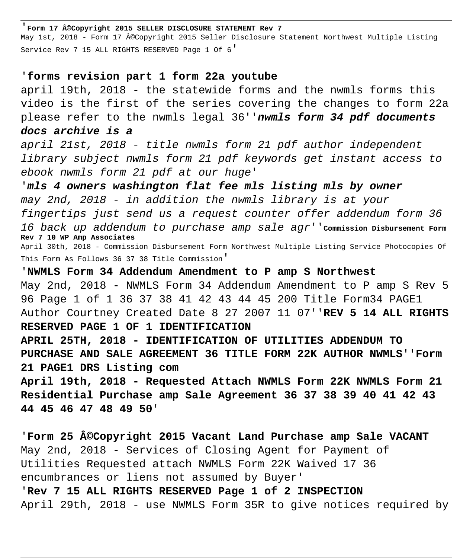#### '**Form 17 ©Copyright 2015 SELLER DISCLOSURE STATEMENT Rev 7**

May 1st, 2018 - Form 17 ©Copyright 2015 Seller Disclosure Statement Northwest Multiple Listing Service Rev 7 15 ALL RIGHTS RESERVED Page 1 Of 6'

# '**forms revision part 1 form 22a youtube**

april 19th, 2018 - the statewide forms and the nwmls forms this video is the first of the series covering the changes to form 22a please refer to the nwmls legal 36''**nwmls form 34 pdf documents docs archive is a**

april 21st, 2018 - title nwmls form 21 pdf author independent library subject nwmls form 21 pdf keywords get instant access to ebook nwmls form 21 pdf at our huge'

'**mls 4 owners washington flat fee mls listing mls by owner** may 2nd, 2018 - in addition the nwmls library is at your fingertips just send us a request counter offer addendum form 36 16 back up addendum to purchase amp sale agr''**Commission Disbursement Form Rev 7 10 WP Amp Associates** April 30th, 2018 - Commission Disbursement Form Northwest Multiple Listing Service Photocopies Of

This Form As Follows 36 37 38 Title Commission'

'**NWMLS Form 34 Addendum Amendment to P amp S Northwest** May 2nd, 2018 - NWMLS Form 34 Addendum Amendment to P amp S Rev 5 96 Page 1 of 1 36 37 38 41 42 43 44 45 200 Title Form34 PAGE1 Author Courtney Created Date 8 27 2007 11 07''**REV 5 14 ALL RIGHTS RESERVED PAGE 1 OF 1 IDENTIFICATION APRIL 25TH, 2018 - IDENTIFICATION OF UTILITIES ADDENDUM TO PURCHASE AND SALE AGREEMENT 36 TITLE FORM 22K AUTHOR NWMLS**''**Form 21 PAGE1 DRS Listing com April 19th, 2018 - Requested Attach NWMLS Form 22K NWMLS Form 21**

**Residential Purchase amp Sale Agreement 36 37 38 39 40 41 42 43 44 45 46 47 48 49 50**'

'**Form 25 ©Copyright 2015 Vacant Land Purchase amp Sale VACANT** May 2nd, 2018 - Services of Closing Agent for Payment of Utilities Requested attach NWMLS Form 22K Waived 17 36 encumbrances or liens not assumed by Buyer'

'**Rev 7 15 ALL RIGHTS RESERVED Page 1 of 2 INSPECTION** April 29th, 2018 - use NWMLS Form 35R to give notices required by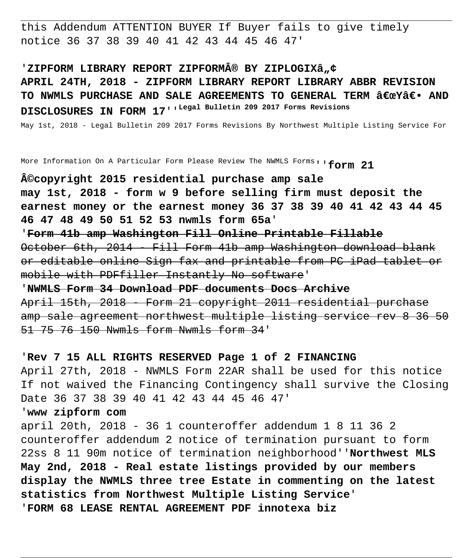this Addendum ATTENTION BUYER If Buyer fails to give timely notice 36 37 38 39 40 41 42 43 44 45 46 47'

'ZIPFORM LIBRARY REPORT ZIPFORM® BY ZIPLOGIXâ"¢ **APRIL 24TH, 2018 - ZIPFORM LIBRARY REPORT LIBRARY ABBR REVISION** TO NWMLS PURCHASE AND SALE AGREEMENTS TO GENERAL TERM "Yâ€. AND **DISCLOSURES IN FORM 17**''**Legal Bulletin 209 2017 Forms Revisions**

May 1st, 2018 - Legal Bulletin 209 2017 Forms Revisions By Northwest Multiple Listing Service For

More Information On A Particular Form Please Review The NWMLS Forms''**form 21**

**©copyright 2015 residential purchase amp sale may 1st, 2018 - form w 9 before selling firm must deposit the earnest money or the earnest money 36 37 38 39 40 41 42 43 44 45 46 47 48 49 50 51 52 53 nwmls form 65a**'

'**Form 41b amp Washington Fill Online Printable Fillable** October 6th, 2014 - Fill Form 41b amp Washington download blank or editable online Sign fax and printable from PC iPad tablet or mobile with PDFfiller Instantly No software'

'**NWMLS Form 34 Download PDF documents Docs Archive** April 15th, 2018 - Form 21 copyright 2011 residential purchase amp sale agreement northwest multiple listing service rev 8 36 50 51 75 76 150 Nwmls form Nwmls form 34'

# '**Rev 7 15 ALL RIGHTS RESERVED Page 1 of 2 FINANCING**

April 27th, 2018 - NWMLS Form 22AR shall be used for this notice If not waived the Financing Contingency shall survive the Closing Date 36 37 38 39 40 41 42 43 44 45 46 47'

# '**www zipform com**

april 20th, 2018 - 36 1 counteroffer addendum 1 8 11 36 2 counteroffer addendum 2 notice of termination pursuant to form 22ss 8 11 90m notice of termination neighborhood''**Northwest MLS May 2nd, 2018 - Real estate listings provided by our members display the NWMLS three tree Estate in commenting on the latest statistics from Northwest Multiple Listing Service**' '**FORM 68 LEASE RENTAL AGREEMENT PDF innotexa biz**